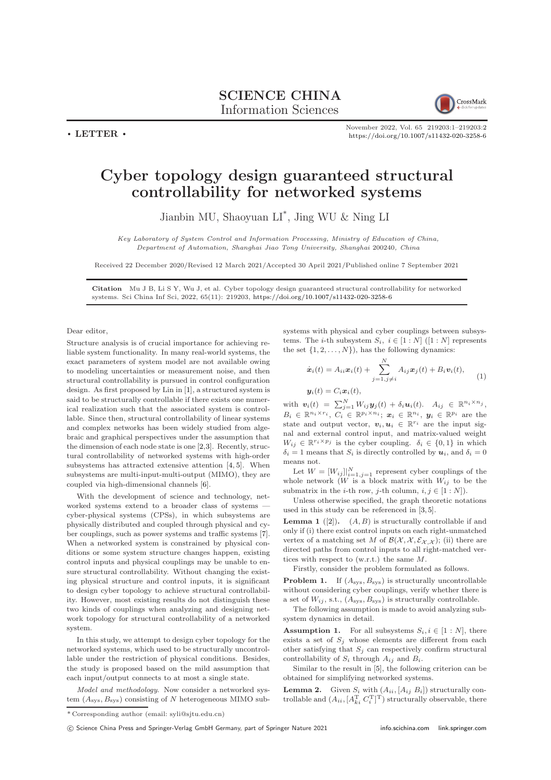SCIENCE CHINA Information Sciences



 $\cdot$  LETTER  $\cdot$ 

November 2022, Vol. 65 219203:1–219203[:2](#page-1-0) <https://doi.org/10.1007/s11432-020-3258-6>

## Cyber topology design guaranteed structural controllability for networked systems

Jianbin MU, Shaoyuan LI\* , Jing WU & Ning LI

Key Laboratory of System Control and Information Processing, Ministry of Education of China, Department of Automation, Shanghai Jiao Tong University, Shanghai 200240, China

Received 22 December 2020/Revised 12 March 2021/Accepted 30 April 2021/Published online 7 September 2021

Citation Mu J B, Li S Y, Wu J, et al. Cyber topology design guaranteed structural controllability for networked systems. Sci China Inf Sci, 2022, 65(11): 219203, <https://doi.org/10.1007/s11432-020-3258-6>

Dear editor,

Structure analysis is of crucial importance for achieving reliable system functionality. In many real-world systems, the exact parameters of system model are not available owing to modeling uncertainties or measurement noise, and then structural controllability is pursued in control configuration design. As first proposed by Lin in [\[1\]](#page-1-1), a structured system is said to be structurally controllable if there exists one numerical realization such that the associated system is controllable. Since then, structural controllability of linear systems and complex networks has been widely studied from algebraic and graphical perspectives under the assumption that the dimension of each node state is one [\[2,](#page-1-2)[3\]](#page-1-3). Recently, structural controllability of networked systems with high-order subsystems has attracted extensive attention [\[4,](#page-1-4) [5\]](#page-1-5). When subsystems are multi-input-multi-output (MIMO), they are coupled via high-dimensional channels [\[6\]](#page-1-6).

With the development of science and technology, networked systems extend to a broader class of systems cyber-physical systems (CPSs), in which subsystems are physically distributed and coupled through physical and cyber couplings, such as power systems and traffic systems [\[7\]](#page-1-7). When a networked system is constrained by physical conditions or some system structure changes happen, existing control inputs and physical couplings may be unable to ensure structural controllability. Without changing the existing physical structure and control inputs, it is significant to design cyber topology to achieve structural controllability. However, most existing results do not distinguish these two kinds of couplings when analyzing and designing network topology for structural controllability of a networked system.

In this study, we attempt to design cyber topology for the networked systems, which used to be structurally uncontrollable under the restriction of physical conditions. Besides, the study is proposed based on the mild assumption that each input/output connects to at most a single state.

Model and methodology. Now consider a networked system  $(A_{\text{sys}}, B_{\text{sys}})$  consisting of N heterogeneous MIMO subsystems with physical and cyber couplings between subsystems. The *i*-th subsystem  $S_i$ ,  $i \in [1:N]$  ([1 : N] represents the set  $\{1, 2, \ldots, N\}$ , has the following dynamics:

$$
\dot{\boldsymbol{x}}_i(t) = A_{ii}\boldsymbol{x}_i(t) + \sum_{j=1, j\neq i}^N A_{ij}\boldsymbol{x}_j(t) + B_i\boldsymbol{v}_i(t),
$$
  

$$
\boldsymbol{y}_i(t) = C_i\boldsymbol{x}_i(t),
$$
 (1)

with  $\mathbf{v}_i(t) = \sum_{j=1}^N W_{ij} \mathbf{y}_j(t) + \delta_i \mathbf{u}_i(t)$ .  $A_{ij} \in \mathbb{R}^{n_i \times n_j}$ ,  $B_i \in \mathbb{R}^{n_i \times r_i}$ ,  $C_i \in \mathbb{R}^{p_i \times n_i}$ ;  $\boldsymbol{x}_i \in \mathbb{R}^{n_i}$ ,  $\boldsymbol{y}_i \in \mathbb{R}^{p_i}$  are the state and output vector,  $v_i, u_i \in \mathbb{R}^{r_i}$  are the input signal and external control input, and matrix-valued weight  $W_{ij} \in \mathbb{R}^{r_i \times p_j}$  is the cyber coupling.  $\delta_i \in \{0, 1\}$  in which  $\delta_i = 1$  means that  $S_i$  is directly controlled by  $u_i$ , and  $\delta_i = 0$ means not.

Let  $W = [W_{ij}]|_{i=1,j=1}^N$  represent cyber couplings of the whole network  $(W \text{ is a block matrix with } W_{ij}$  to be the submatrix in the *i*-th row, *j*-th column,  $i, j \in [1:N]$ ).

Unless otherwise specified, the graph theoretic notations used in this study can be referenced in [\[3,](#page-1-3) [5\]](#page-1-5).

**Lemma 1** ([\[2\]](#page-1-2)).  $(A, B)$  is structurally controllable if and only if (i) there exist control inputs on each right-unmatched vertex of a matching set M of  $\mathcal{B}(\mathcal{X}, \mathcal{X}, \mathcal{E}_{\mathcal{X}, \mathcal{X}})$ ; (ii) there are directed paths from control inputs to all right-matched vertices with respect to (w.r.t.) the same M.

Firstly, consider the problem formulated as follows.

<span id="page-0-1"></span>**Problem 1.** If  $(A_{sys}, B_{sys})$  is structurally uncontrollable without considering cyber couplings, verify whether there is a set of  $W_{ij}$ , s.t.,  $(A_{sys}, B_{sys})$  is structurally controllable.

The following assumption is made to avoid analyzing subsystem dynamics in detail.

**Assumption 1.** For all subsystems  $S_i, i \in [1:N]$ , there exists a set of  $S_j$  whose elements are different from each other satisfying that  $S_i$  can respectively confirm structural controllability of  $S_i$  through  $A_{ij}$  and  $B_i$ .

Similar to the result in [\[5\]](#page-1-5), the following criterion can be obtained for simplifying networked systems.

<span id="page-0-0"></span>**Lemma 2.** Given  $S_i$  with  $(A_{ii}, [A_{ij}, B_i])$  structurally controllable and  $(A_{ii}, [A_{ki}^T C_i^T]^T)$  structurally observable, there

<sup>\*</sup> Corresponding author (email: syli@sjtu.edu.cn)

<sup>(</sup>C) Science China Press and Springer-Verlag GmbH Germany, part of Springer Nature 2021 <info.scichina.com><link.springer.com>